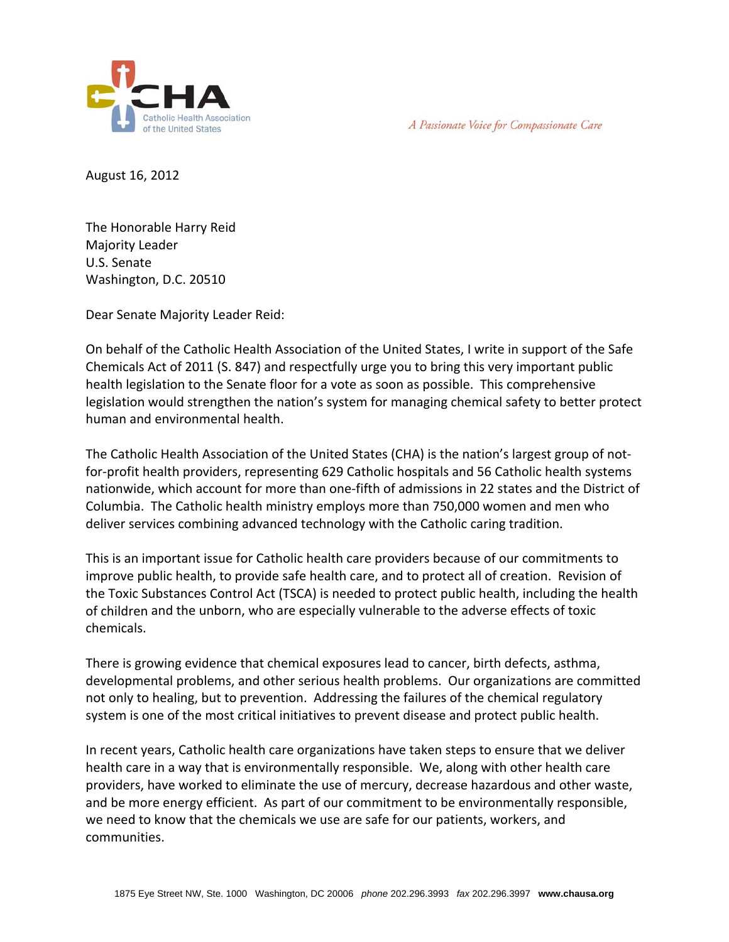

A Passionate Voice for Compassionate Care

August 16, 2012

The Honorable Harry Reid Majority Leader U.S. Senate Washington, D.C. 20510

Dear Senate Majority Leader Reid:

On behalf of the Catholic Health Association of the United States, I write in support of the Safe Chemicals Act of 2011 (S. 847) and respectfully urge you to bring this very important public health legislation to the Senate floor for a vote as soon as possible. This comprehensive legislation would strengthen the nation's system for managing chemical safety to better protect human and environmental health.

The Catholic Health Association of the United States (CHA) is the nation's largest group of not‐ for‐profit health providers, representing 629 Catholic hospitals and 56 Catholic health systems nationwide, which account for more than one‐fifth of admissions in 22 states and the District of Columbia. The Catholic health ministry employs more than 750,000 women and men who deliver services combining advanced technology with the Catholic caring tradition.

This is an important issue for Catholic health care providers because of our commitments to improve public health, to provide safe health care, and to protect all of creation. Revision of the Toxic Substances Control Act (TSCA) is needed to protect public health, including the health of children and the unborn, who are especially vulnerable to the adverse effects of toxic chemicals.

There is growing evidence that chemical exposures lead to cancer, birth defects, asthma, developmental problems, and other serious health problems. Our organizations are committed not only to healing, but to prevention. Addressing the failures of the chemical regulatory system is one of the most critical initiatives to prevent disease and protect public health.

In recent years, Catholic health care organizations have taken steps to ensure that we deliver health care in a way that is environmentally responsible. We, along with other health care providers, have worked to eliminate the use of mercury, decrease hazardous and other waste, and be more energy efficient. As part of our commitment to be environmentally responsible, we need to know that the chemicals we use are safe for our patients, workers, and communities.